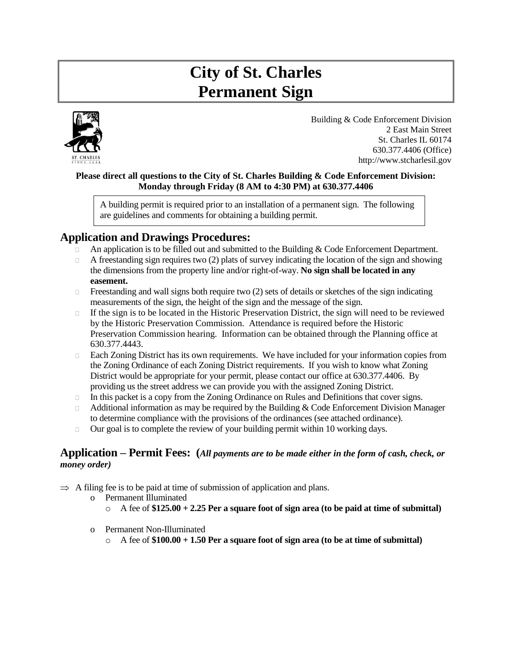# **City of St. Charles Permanent Sign**



Building & Code Enforcement Division 2 East Main Street St. Charles IL 60174 630.377.4406 (Office) http://www.stcharlesil.gov

#### **Please direct all questions to the City of St. Charles Building & Code Enforcement Division: Monday through Friday (8 AM to 4:30 PM) at 630.377.4406**

A building permit is required prior to an installation of a permanent sign. The following are guidelines and comments for obtaining a building permit.

# **Application and Drawings Procedures:**

- An application is to be filled out and submitted to the Building & Code Enforcement Department.
- $\Box$  A freestanding sign requires two (2) plats of survey indicating the location of the sign and showing the dimensions from the property line and/or right-of-way. **No sign shall be located in any easement.**
- $\Box$  Freestanding and wall signs both require two (2) sets of details or sketches of the sign indicating measurements of the sign, the height of the sign and the message of the sign.
- $\Box$  If the sign is to be located in the Historic Preservation District, the sign will need to be reviewed by the Historic Preservation Commission. Attendance is required before the Historic Preservation Commission hearing. Information can be obtained through the Planning office at 630.377.4443.
- □ Each Zoning District has its own requirements. We have included for your information copies from the Zoning Ordinance of each Zoning District requirements. If you wish to know what Zoning District would be appropriate for your permit, please contact our office at 630.377.4406. By providing us the street address we can provide you with the assigned Zoning District.
- $\Box$  In this packet is a copy from the Zoning Ordinance on Rules and Definitions that cover signs.
- $\Box$  Additional information as may be required by the Building & Code Enforcement Division Manager to determine compliance with the provisions of the ordinances (see attached ordinance).
- $\Box$  Our goal is to complete the review of your building permit within 10 working days.

# **Application – Permit Fees: (***All payments are to be made either in the form of cash, check, or money order)*

- $\Rightarrow$  A filing fee is to be paid at time of submission of application and plans.
	- o Permanent Illuminated
		- o A fee of **\$125.00 + 2.25 Per a square foot of sign area (to be paid at time of submittal)**
	- o Permanent Non-Illuminated
		- $\circ$  A fee of  $$100.00 + 1.50$  Per a square foot of sign area (to be at time of submittal)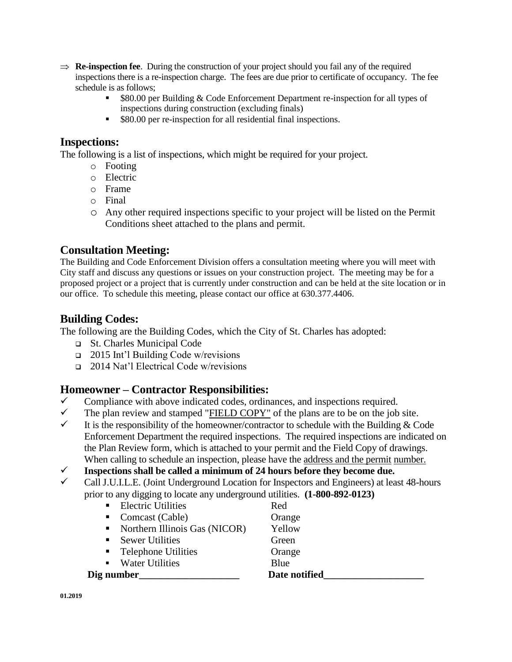- $\Rightarrow$  **Re-inspection fee**. During the construction of your project should you fail any of the required inspections there is a re-inspection charge. The fees are due prior to certificate of occupancy. The fee schedule is as follows;
	- \$80.00 per Building & Code Enforcement Department re-inspection for all types of inspections during construction (excluding finals)
	- \$80.00 per re-inspection for all residential final inspections.

# **Inspections:**

The following is a list of inspections, which might be required for your project.

- o Footing
- o Electric
- o Frame
- o Final
- o Any other required inspections specific to your project will be listed on the Permit Conditions sheet attached to the plans and permit.

# **Consultation Meeting:**

The Building and Code Enforcement Division offers a consultation meeting where you will meet with City staff and discuss any questions or issues on your construction project. The meeting may be for a proposed project or a project that is currently under construction and can be held at the site location or in our office. To schedule this meeting, please contact our office at 630.377.4406.

# **Building Codes:**

The following are the Building Codes, which the City of St. Charles has adopted:

- ❑ St. Charles Municipal Code
- ❑ 2015 Int'l Building Code w/revisions
- ❑ 2014 Nat'l Electrical Code w/revisions

# **Homeowner – Contractor Responsibilities:**

- $\checkmark$  Compliance with above indicated codes, ordinances, and inspections required.
- $\checkmark$  The plan review and stamped "FIELD COPY" of the plans are to be on the job site.
- It is the responsibility of the homeowner/contractor to schedule with the Building  $& Code$ Enforcement Department the required inspections. The required inspections are indicated on the Plan Review form, which is attached to your permit and the Field Copy of drawings. When calling to schedule an inspection, please have the address and the permit number.

✓ **Inspections shall be called a minimum of 24 hours before they become due.**

✓ Call J.U.I.L.E. (Joint Underground Location for Inspectors and Engineers) at least 48-hours prior to any digging to locate any underground utilities. **(1-800-892-0123)**

| Dig number_                                  | Date notified |
|----------------------------------------------|---------------|
| • Water Utilities                            | Blue          |
| • Telephone Utilities                        | Orange        |
| • Sewer Utilities                            | Green         |
| $\blacksquare$ Northern Illinois Gas (NICOR) | Yellow        |
| • Comcast (Cable)                            | Orange        |
| • Electric Utilities                         | Red           |
|                                              |               |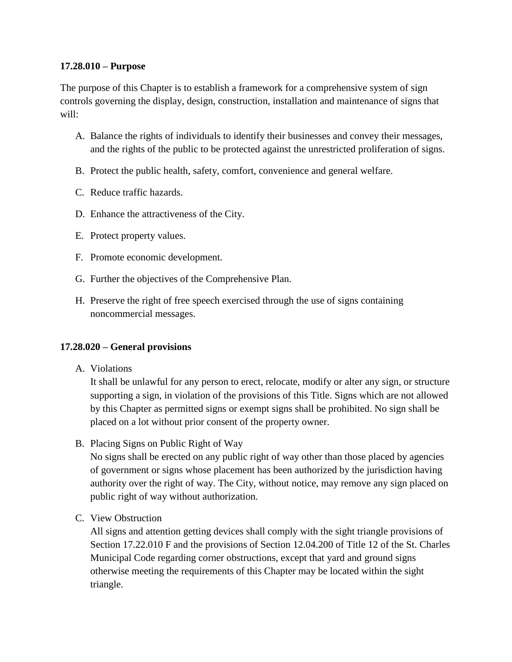## **[17.28.010 –](https://codebook.stcharlesil.gov/1728-%E2%80%93-signs/1728010) Purpose**

The purpose of this Chapter is to establish a framework for a comprehensive system of sign controls governing the display, design, construction, installation and maintenance of signs that will:

- A. Balance the rights of individuals to identify their businesses and convey their messages, and the rights of the public to be protected against the unrestricted proliferation of signs.
- B. Protect the public health, safety, comfort, convenience and general welfare.
- C. Reduce traffic hazards.
- D. Enhance the attractiveness of the City.
- E. Protect property values.
- F. Promote economic development.
- G. Further the objectives of the Comprehensive Plan.
- H. Preserve the right of free speech exercised through the use of signs containing noncommercial messages.

## **17.28.020 – [General provisions](https://codebook.stcharlesil.gov/1728-%E2%80%93-signs/1728020)**

A. Violations

It shall be unlawful for any person to erect, relocate, modify or alter any sign, or structure supporting a sign, in violation of the provisions of this Title. Signs which are not allowed by this Chapter as permitted signs or exempt signs shall be prohibited. No sign shall be placed on a lot without prior consent of the property owner.

B. Placing Signs on Public Right of Way

No signs shall be erected on any public right of way other than those placed by agencies of government or signs whose placement has been authorized by the jurisdiction having authority over the right of way. The City, without notice, may remove any sign placed on public right of way without authorization.

C. View Obstruction

All signs and attention getting devices shall comply with the sight triangle provisions of Section 17.22.010 F and the provisions of Section 12.04.200 of Title 12 of the St. Charles Municipal Code regarding corner obstructions, except that yard and ground signs otherwise meeting the requirements of this Chapter may be located within the sight triangle.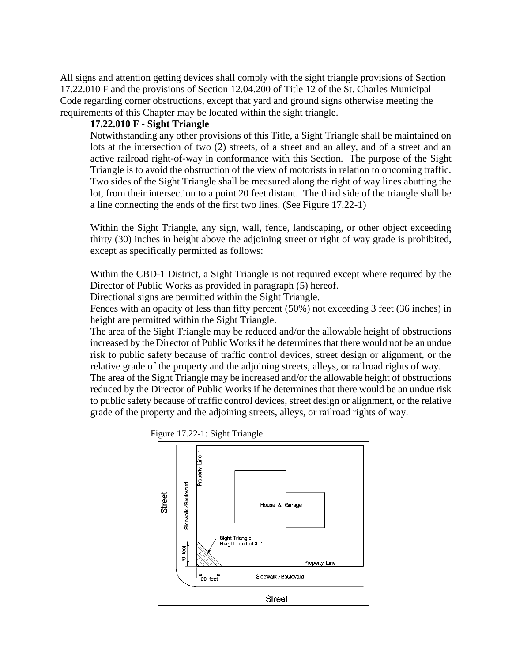All signs and attention getting devices shall comply with the sight triangle provisions of Section 17.22.010 F and the provisions of Section 12.04.200 of Title 12 of the St. Charles Municipal Code regarding corner obstructions, except that yard and ground signs otherwise meeting the requirements of this Chapter may be located within the sight triangle.

## **17.22.010 F - Sight Triangle**

Notwithstanding any other provisions of this Title, a Sight Triangle shall be maintained on lots at the intersection of two (2) streets, of a street and an alley, and of a street and an active railroad right-of-way in conformance with this Section. The purpose of the Sight Triangle is to avoid the obstruction of the view of motorists in relation to oncoming traffic. Two sides of the Sight Triangle shall be measured along the right of way lines abutting the lot, from their intersection to a point 20 feet distant. The third side of the triangle shall be a line connecting the ends of the first two lines. (See Figure 17.22-1)

Within the Sight Triangle, any sign, wall, fence, landscaping, or other object exceeding thirty (30) inches in height above the adjoining street or right of way grade is prohibited, except as specifically permitted as follows:

Within the CBD-1 District, a Sight Triangle is not required except where required by the Director of Public Works as provided in paragraph (5) hereof.

Directional signs are permitted within the Sight Triangle.

Fences with an opacity of less than fifty percent (50%) not exceeding 3 feet (36 inches) in height are permitted within the Sight Triangle.

The area of the Sight Triangle may be reduced and/or the allowable height of obstructions increased by the Director of Public Works if he determines that there would not be an undue risk to public safety because of traffic control devices, street design or alignment, or the relative grade of the property and the adjoining streets, alleys, or railroad rights of way.

The area of the Sight Triangle may be increased and/or the allowable height of obstructions reduced by the Director of Public Works if he determines that there would be an undue risk to public safety because of traffic control devices, street design or alignment, or the relative grade of the property and the adjoining streets, alleys, or railroad rights of way.



Figure 17.22-1: Sight Triangle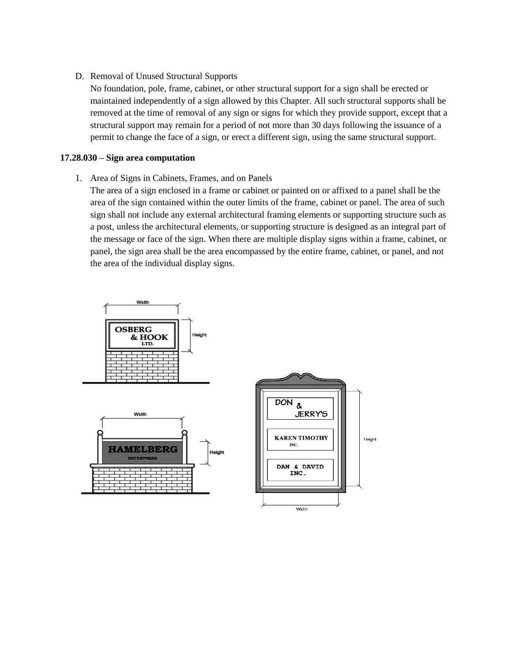D. Removal of Unused Structural Supports

No foundation, pole, frame, cabinet, or other structural support for a sign shall be erected or maintained independently of a sign allowed by this Chapter. All such structural supports shall be removed at the time of removal of any sign or signs for which they provide support, except that a structural support may remain for a period of not more than 30 days following the issuance of a permit to change the face of a sign, or erect a different sign, using the same structural support.

#### **17.28.030 – [Sign area computation](https://codebook.stcharlesil.gov/1728-%E2%80%93-signs/1728030)**

1. Area of Signs in Cabinets, Frames, and on Panels

The area of a sign enclosed in a frame or cabinet or painted on or affixed to a panel shall be the area of the sign contained within the outer limits of the frame, cabinet or panel. The area of such sign shall not include any external architectural framing elements or supporting structure such as a post, unless the architectural elements, or supporting structure is designed as an integral part of the message or face of the sign. When there are multiple display signs within a frame, cabinet, or panel, the sign area shall be the area encompassed by the entire frame, cabinet, or panel, and not the area of the individual display signs.





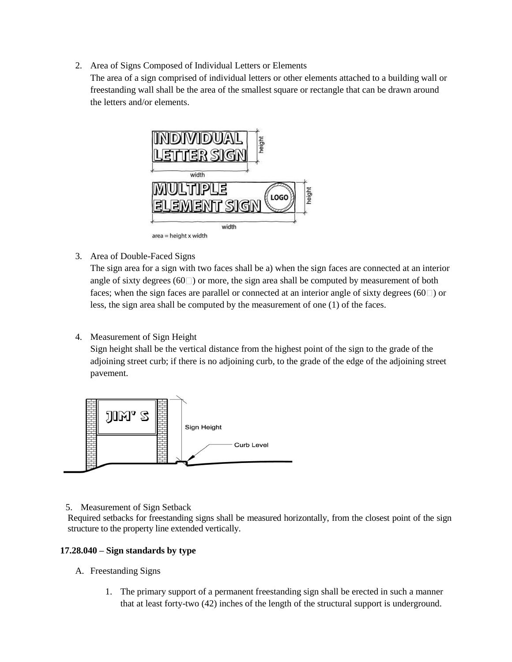2. Area of Signs Composed of Individual Letters or Elements

The area of a sign comprised of individual letters or other elements attached to a building wall or freestanding wall shall be the area of the smallest square or rectangle that can be drawn around the letters and/or elements.



3. Area of Double-Faced Signs

The sign area for a sign with two faces shall be a) when the sign faces are connected at an interior angle of sixty degrees  $(60 \Box)$  or more, the sign area shall be computed by measurement of both faces; when the sign faces are parallel or connected at an interior angle of sixty degrees ( $60\degree$ ) or less, the sign area shall be computed by the measurement of one (1) of the faces.

4. Measurement of Sign Height

Sign height shall be the vertical distance from the highest point of the sign to the grade of the adjoining street curb; if there is no adjoining curb, to the grade of the edge of the adjoining street pavement.



5. Measurement of Sign Setback

Required setbacks for freestanding signs shall be measured horizontally, from the closest point of the sign structure to the property line extended vertically.

## **17.28.040 – [Sign standards by type](https://codebook.stcharlesil.gov/1728-%E2%80%93-signs/1728040)**

- A. Freestanding Signs
	- 1. The primary support of a permanent freestanding sign shall be erected in such a manner that at least forty-two (42) inches of the length of the structural support is underground.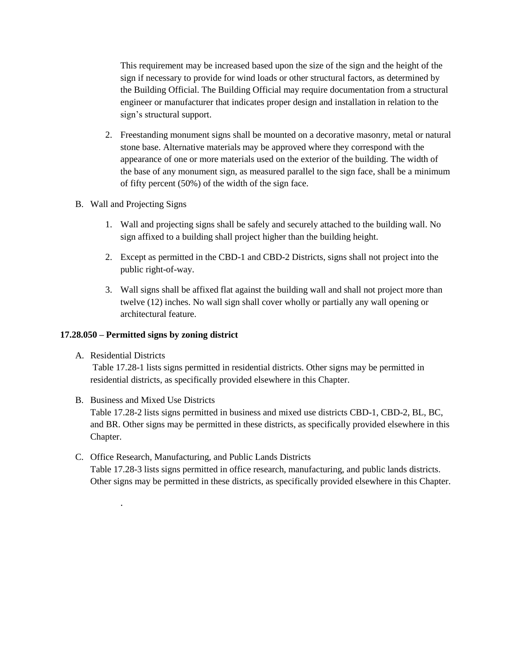This requirement may be increased based upon the size of the sign and the height of the sign if necessary to provide for wind loads or other structural factors, as determined by the Building Official. The Building Official may require documentation from a structural engineer or manufacturer that indicates proper design and installation in relation to the sign's structural support.

- 2. Freestanding monument signs shall be mounted on a decorative masonry, metal or natural stone base. Alternative materials may be approved where they correspond with the appearance of one or more materials used on the exterior of the building. The width of the base of any monument sign, as measured parallel to the sign face, shall be a minimum of fifty percent (50%) of the width of the sign face.
- B. Wall and Projecting Signs
	- 1. Wall and projecting signs shall be safely and securely attached to the building wall. No sign affixed to a building shall project higher than the building height.
	- 2. Except as permitted in the CBD-1 and CBD-2 Districts, signs shall not project into the public right-of-way.
	- 3. Wall signs shall be affixed flat against the building wall and shall not project more than twelve (12) inches. No wall sign shall cover wholly or partially any wall opening or architectural feature.

#### **17.28.050 – [Permitted signs by zoning district](https://codebook.stcharlesil.gov/1728-%E2%80%93-signs/1728050)**

A. Residential Districts

.

Table 17.28-1 lists signs permitted in residential districts. Other signs may be permitted in residential districts, as specifically provided elsewhere in this Chapter.

- B. Business and Mixed Use Districts Table 17.28-2 lists signs permitted in business and mixed use districts CBD-1, CBD-2, BL, BC, and BR. Other signs may be permitted in these districts, as specifically provided elsewhere in this Chapter.
- C. Office Research, Manufacturing, and Public Lands Districts Table 17.28-3 lists signs permitted in office research, manufacturing, and public lands districts. Other signs may be permitted in these districts, as specifically provided elsewhere in this Chapter.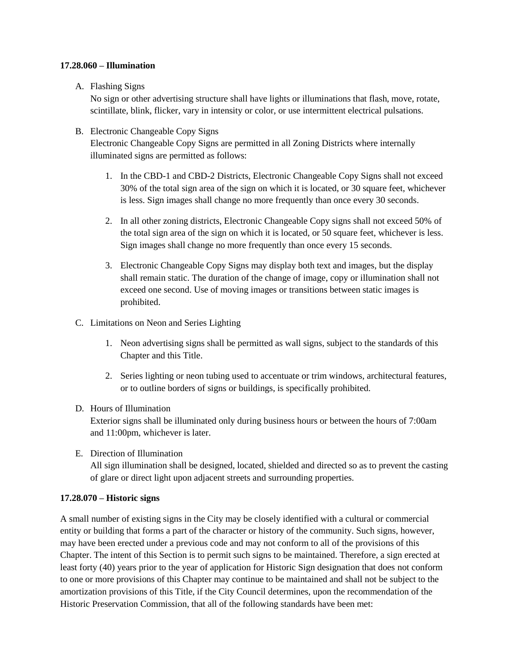#### **17.28.060 – [Illumination](https://codebook.stcharlesil.gov/1728-%E2%80%93-signs/1728060)**

## A. Flashing Signs

No sign or other advertising structure shall have lights or illuminations that flash, move, rotate, scintillate, blink, flicker, vary in intensity or color, or use intermittent electrical pulsations.

## B. Electronic Changeable Copy Signs

Electronic Changeable Copy Signs are permitted in all Zoning Districts where internally illuminated signs are permitted as follows:

- 1. In the CBD-1 and CBD-2 Districts, Electronic Changeable Copy Signs shall not exceed 30% of the total sign area of the sign on which it is located, or 30 square feet, whichever is less. Sign images shall change no more frequently than once every 30 seconds.
- 2. In all other zoning districts, Electronic Changeable Copy signs shall not exceed 50% of the total sign area of the sign on which it is located, or 50 square feet, whichever is less. Sign images shall change no more frequently than once every 15 seconds.
- 3. Electronic Changeable Copy Signs may display both text and images, but the display shall remain static. The duration of the change of image, copy or illumination shall not exceed one second. Use of moving images or transitions between static images is prohibited.

## C. Limitations on Neon and Series Lighting

- 1. Neon advertising signs shall be permitted as wall signs, subject to the standards of this Chapter and this Title.
- 2. Series lighting or neon tubing used to accentuate or trim windows, architectural features, or to outline borders of signs or buildings, is specifically prohibited.

## D. Hours of Illumination

Exterior signs shall be illuminated only during business hours or between the hours of 7:00am and 11:00pm, whichever is later.

E. Direction of Illumination

All sign illumination shall be designed, located, shielded and directed so as to prevent the casting of glare or direct light upon adjacent streets and surrounding properties.

## **[17.28.070 –](https://codebook.stcharlesil.gov/1728-%E2%80%93-signs/1728070) Historic signs**

A small number of existing signs in the City may be closely identified with a cultural or commercial entity or building that forms a part of the character or history of the community. Such signs, however, may have been erected under a previous code and may not conform to all of the provisions of this Chapter. The intent of this Section is to permit such signs to be maintained. Therefore, a sign erected at least forty (40) years prior to the year of application for Historic Sign designation that does not conform to one or more provisions of this Chapter may continue to be maintained and shall not be subject to the amortization provisions of this Title, if the City Council determines, upon the recommendation of the Historic Preservation Commission, that all of the following standards have been met: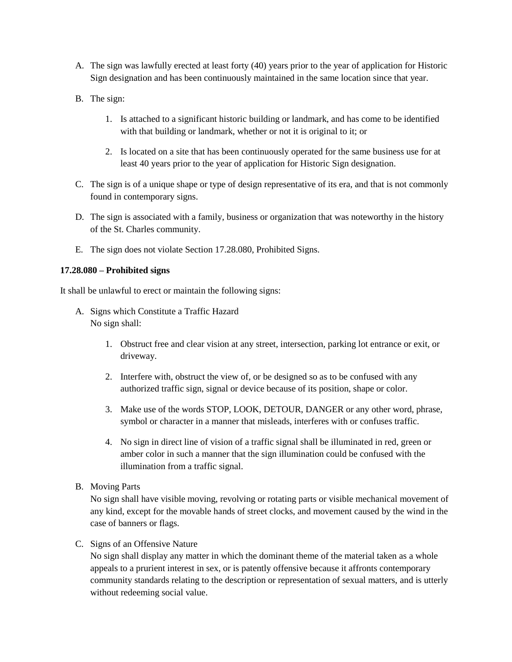- A. The sign was lawfully erected at least forty (40) years prior to the year of application for Historic Sign designation and has been continuously maintained in the same location since that year.
- B. The sign:
	- 1. Is attached to a significant historic building or landmark, and has come to be identified with that building or landmark, whether or not it is original to it; or
	- 2. Is located on a site that has been continuously operated for the same business use for at least 40 years prior to the year of application for Historic Sign designation.
- C. The sign is of a unique shape or type of design representative of its era, and that is not commonly found in contemporary signs.
- D. The sign is associated with a family, business or organization that was noteworthy in the history of the St. Charles community.
- E. The sign does not violate Section 17.28.080, Prohibited Signs.

#### **17.28.080 – [Prohibited signs](https://codebook.stcharlesil.gov/1728-%E2%80%93-signs/1728080)**

It shall be unlawful to erect or maintain the following signs:

- A. Signs which Constitute a Traffic Hazard No sign shall:
	- 1. Obstruct free and clear vision at any street, intersection, parking lot entrance or exit, or driveway.
	- 2. Interfere with, obstruct the view of, or be designed so as to be confused with any authorized traffic sign, signal or device because of its position, shape or color.
	- 3. Make use of the words STOP, LOOK, DETOUR, DANGER or any other word, phrase, symbol or character in a manner that misleads, interferes with or confuses traffic.
	- 4. No sign in direct line of vision of a traffic signal shall be illuminated in red, green or amber color in such a manner that the sign illumination could be confused with the illumination from a traffic signal.
- B. Moving Parts

No sign shall have visible moving, revolving or rotating parts or visible mechanical movement of any kind, except for the movable hands of street clocks, and movement caused by the wind in the case of banners or flags.

#### C. Signs of an Offensive Nature

No sign shall display any matter in which the dominant theme of the material taken as a whole appeals to a prurient interest in sex, or is patently offensive because it affronts contemporary community standards relating to the description or representation of sexual matters, and is utterly without redeeming social value.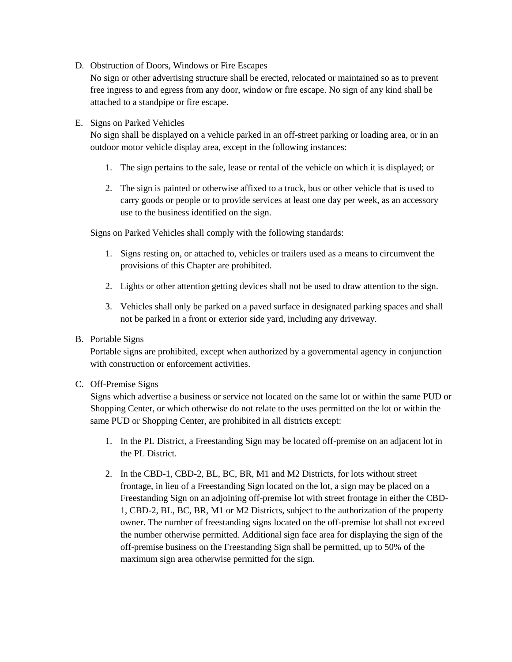D. Obstruction of Doors, Windows or Fire Escapes

No sign or other advertising structure shall be erected, relocated or maintained so as to prevent free ingress to and egress from any door, window or fire escape. No sign of any kind shall be attached to a standpipe or fire escape.

#### E. Signs on Parked Vehicles

No sign shall be displayed on a vehicle parked in an off-street parking or loading area, or in an outdoor motor vehicle display area, except in the following instances:

- 1. The sign pertains to the sale, lease or rental of the vehicle on which it is displayed; or
- 2. The sign is painted or otherwise affixed to a truck, bus or other vehicle that is used to carry goods or people or to provide services at least one day per week, as an accessory use to the business identified on the sign.

Signs on Parked Vehicles shall comply with the following standards:

- 1. Signs resting on, or attached to, vehicles or trailers used as a means to circumvent the provisions of this Chapter are prohibited.
- 2. Lights or other attention getting devices shall not be used to draw attention to the sign.
- 3. Vehicles shall only be parked on a paved surface in designated parking spaces and shall not be parked in a front or exterior side yard, including any driveway.

#### B. Portable Signs

Portable signs are prohibited, except when authorized by a governmental agency in conjunction with construction or enforcement activities.

#### C. Off-Premise Signs

Signs which advertise a business or service not located on the same lot or within the same PUD or Shopping Center, or which otherwise do not relate to the uses permitted on the lot or within the same PUD or Shopping Center, are prohibited in all districts except:

- 1. In the PL District, a Freestanding Sign may be located off-premise on an adjacent lot in the PL District.
- 2. In the CBD-1, CBD-2, BL, BC, BR, M1 and M2 Districts, for lots without street frontage, in lieu of a Freestanding Sign located on the lot, a sign may be placed on a Freestanding Sign on an adjoining off-premise lot with street frontage in either the CBD-1, CBD-2, BL, BC, BR, M1 or M2 Districts, subject to the authorization of the property owner. The number of freestanding signs located on the off-premise lot shall not exceed the number otherwise permitted. Additional sign face area for displaying the sign of the off-premise business on the Freestanding Sign shall be permitted, up to 50% of the maximum sign area otherwise permitted for the sign.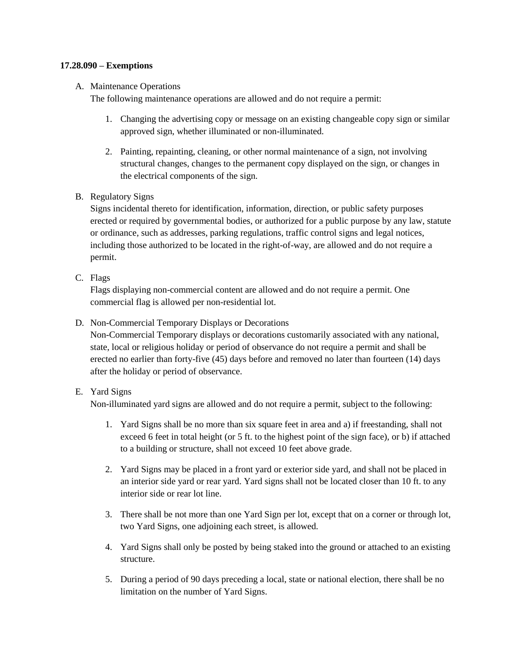#### **17.28.090 – [Exemptions](https://codebook.stcharlesil.gov/1728-%E2%80%93-signs/1728090)**

#### A. Maintenance Operations

The following maintenance operations are allowed and do not require a permit:

- 1. Changing the advertising copy or message on an existing changeable copy sign or similar approved sign, whether illuminated or non-illuminated.
- 2. Painting, repainting, cleaning, or other normal maintenance of a sign, not involving structural changes, changes to the permanent copy displayed on the sign, or changes in the electrical components of the sign.
- B. Regulatory Signs

Signs incidental thereto for identification, information, direction, or public safety purposes erected or required by governmental bodies, or authorized for a public purpose by any law, statute or ordinance, such as addresses, parking regulations, traffic control signs and legal notices, including those authorized to be located in the right-of-way, are allowed and do not require a permit.

C. Flags

Flags displaying non-commercial content are allowed and do not require a permit. One commercial flag is allowed per non-residential lot.

D. Non-Commercial Temporary Displays or Decorations

Non-Commercial Temporary displays or decorations customarily associated with any national, state, local or religious holiday or period of observance do not require a permit and shall be erected no earlier than forty-five (45) days before and removed no later than fourteen (14) days after the holiday or period of observance.

## E. Yard Signs

Non-illuminated yard signs are allowed and do not require a permit, subject to the following:

- 1. Yard Signs shall be no more than six square feet in area and a) if freestanding, shall not exceed 6 feet in total height (or 5 ft. to the highest point of the sign face), or b) if attached to a building or structure, shall not exceed 10 feet above grade.
- 2. Yard Signs may be placed in a front yard or exterior side yard, and shall not be placed in an interior side yard or rear yard. Yard signs shall not be located closer than 10 ft. to any interior side or rear lot line.
- 3. There shall be not more than one Yard Sign per lot, except that on a corner or through lot, two Yard Signs, one adjoining each street, is allowed.
- 4. Yard Signs shall only be posted by being staked into the ground or attached to an existing structure.
- 5. During a period of 90 days preceding a local, state or national election, there shall be no limitation on the number of Yard Signs.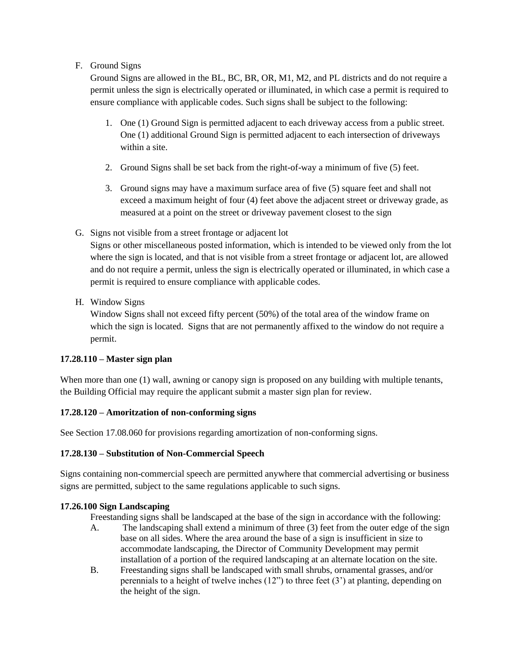## F. Ground Signs

Ground Signs are allowed in the BL, BC, BR, OR, M1, M2, and PL districts and do not require a permit unless the sign is electrically operated or illuminated, in which case a permit is required to ensure compliance with applicable codes. Such signs shall be subject to the following:

- 1. One (1) Ground Sign is permitted adjacent to each driveway access from a public street. One (1) additional Ground Sign is permitted adjacent to each intersection of driveways within a site.
- 2. Ground Signs shall be set back from the right-of-way a minimum of five (5) feet.
- 3. Ground signs may have a maximum surface area of five (5) square feet and shall not exceed a maximum height of four (4) feet above the adjacent street or driveway grade, as measured at a point on the street or driveway pavement closest to the sign
- G. Signs not visible from a street frontage or adjacent lot

Signs or other miscellaneous posted information, which is intended to be viewed only from the lot where the sign is located, and that is not visible from a street frontage or adjacent lot, are allowed and do not require a permit, unless the sign is electrically operated or illuminated, in which case a permit is required to ensure compliance with applicable codes.

H. Window Signs

Window Signs shall not exceed fifty percent (50%) of the total area of the window frame on which the sign is located. Signs that are not permanently affixed to the window do not require a permit.

## **17.28.110 – Master sign plan**

When more than one (1) wall, awning or canopy sign is proposed on any building with multiple tenants, the Building Official may require the applicant submit a master sign plan for review.

## **17.28.120 – Amoritzation of non-conforming signs**

See Section 17.08.060 for provisions regarding amortization of non-conforming signs.

## **17.28.130 – Substitution of Non-Commercial Speech**

Signs containing non-commercial speech are permitted anywhere that commercial advertising or business signs are permitted, subject to the same regulations applicable to such signs.

## **17.26.100 Sign Landscaping**

Freestanding signs shall be landscaped at the base of the sign in accordance with the following:

- A. The landscaping shall extend a minimum of three (3) feet from the outer edge of the sign base on all sides. Where the area around the base of a sign is insufficient in size to accommodate landscaping, the Director of Community Development may permit installation of a portion of the required landscaping at an alternate location on the site.
- B. Freestanding signs shall be landscaped with small shrubs, ornamental grasses, and/or perennials to a height of twelve inches (12") to three feet (3') at planting, depending on the height of the sign.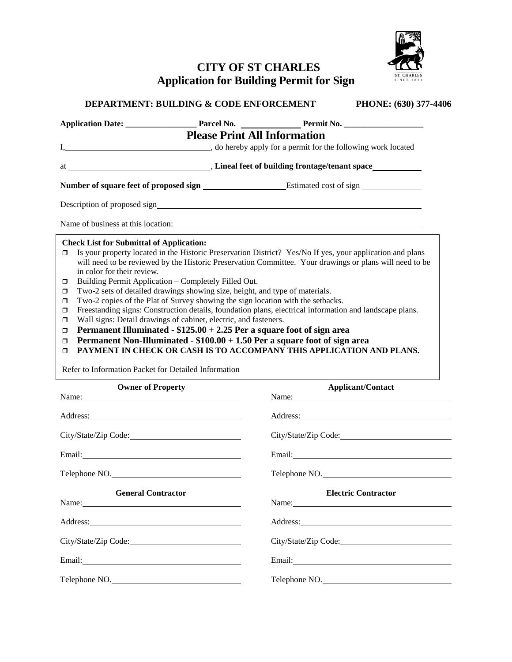

# **CITY OF ST CHARLES Application for Building Permit for Sign**

|                                                                                                                                                                                                                            | <b>Please Print All Information</b>                                                                                                                                                                                                                                                                                                                                    |                                                                                                                                                                                                                                                                                                                                                                                                                                                                                        |  |  |
|----------------------------------------------------------------------------------------------------------------------------------------------------------------------------------------------------------------------------|------------------------------------------------------------------------------------------------------------------------------------------------------------------------------------------------------------------------------------------------------------------------------------------------------------------------------------------------------------------------|----------------------------------------------------------------------------------------------------------------------------------------------------------------------------------------------------------------------------------------------------------------------------------------------------------------------------------------------------------------------------------------------------------------------------------------------------------------------------------------|--|--|
|                                                                                                                                                                                                                            |                                                                                                                                                                                                                                                                                                                                                                        |                                                                                                                                                                                                                                                                                                                                                                                                                                                                                        |  |  |
|                                                                                                                                                                                                                            |                                                                                                                                                                                                                                                                                                                                                                        |                                                                                                                                                                                                                                                                                                                                                                                                                                                                                        |  |  |
|                                                                                                                                                                                                                            |                                                                                                                                                                                                                                                                                                                                                                        |                                                                                                                                                                                                                                                                                                                                                                                                                                                                                        |  |  |
|                                                                                                                                                                                                                            |                                                                                                                                                                                                                                                                                                                                                                        | Name of business at this location: example of the state of the state of the state of the state of the state of the state of the state of the state of the state of the state of the state of the state of the state of the sta                                                                                                                                                                                                                                                         |  |  |
| <b>Check List for Submittal of Application:</b><br>$\Box$<br>in color for their review.<br>$\Box$<br>$\Box$<br>$\Box$<br>σ<br>$\Box$<br>$\Box$<br>$\Box$<br>$\Box$<br>Refer to Information Packet for Detailed Information | Building Permit Application - Completely Filled Out.<br>Two-2 sets of detailed drawings showing size, height, and type of materials.<br>Two-2 copies of the Plat of Survey showing the sign location with the setbacks.<br>Wall signs: Detail drawings of cabinet, electric, and fasteners.<br>Permanent Illuminated - $$125.00 + 2.25$ Per a square foot of sign area | Is your property located in the Historic Preservation District? Yes/No If yes, your application and plans<br>will need to be reviewed by the Historic Preservation Committee. Your drawings or plans will need to be<br>Freestanding signs: Construction details, foundation plans, electrical information and landscape plans.<br>Permanent Non-Illuminated - $$100.00 + 1.50$ Per a square foot of sign area<br>PAYMENT IN CHECK OR CASH IS TO ACCOMPANY THIS APPLICATION AND PLANS. |  |  |
| <b>Owner of Property</b>                                                                                                                                                                                                   |                                                                                                                                                                                                                                                                                                                                                                        | <b>Applicant/Contact</b><br>Name: Name                                                                                                                                                                                                                                                                                                                                                                                                                                                 |  |  |
| Address: <u>Address:</u>                                                                                                                                                                                                   |                                                                                                                                                                                                                                                                                                                                                                        |                                                                                                                                                                                                                                                                                                                                                                                                                                                                                        |  |  |
| City/State/Zip Code:                                                                                                                                                                                                       |                                                                                                                                                                                                                                                                                                                                                                        | City/State/Zip Code:                                                                                                                                                                                                                                                                                                                                                                                                                                                                   |  |  |
|                                                                                                                                                                                                                            | Email: <u>Alexander School (2002)</u>                                                                                                                                                                                                                                                                                                                                  |                                                                                                                                                                                                                                                                                                                                                                                                                                                                                        |  |  |
| Telephone NO.                                                                                                                                                                                                              |                                                                                                                                                                                                                                                                                                                                                                        | Telephone NO.                                                                                                                                                                                                                                                                                                                                                                                                                                                                          |  |  |
| <b>General Contractor</b><br>Name:                                                                                                                                                                                         |                                                                                                                                                                                                                                                                                                                                                                        | <b>Electric Contractor</b><br>Name:                                                                                                                                                                                                                                                                                                                                                                                                                                                    |  |  |
| Address:                                                                                                                                                                                                                   |                                                                                                                                                                                                                                                                                                                                                                        | Address:                                                                                                                                                                                                                                                                                                                                                                                                                                                                               |  |  |

City/State/Zip Code: City/State/Zip Code: City/State/Zip Code:

Email: Email: Email: Email: Email: Email: Email: Email: Email: Email: Email: Email: Email: Email: Email: Email: Email: Email: Email: Email: Email: Email: Email: Email: Email: Email: Email: Email: Email: Email: Email: Email

Telephone NO. Telephone NO. Telephone NO.

**DEPARTMENT: BUILDING & CODE ENFORCEMENT PHONE: (630) 377-4406**